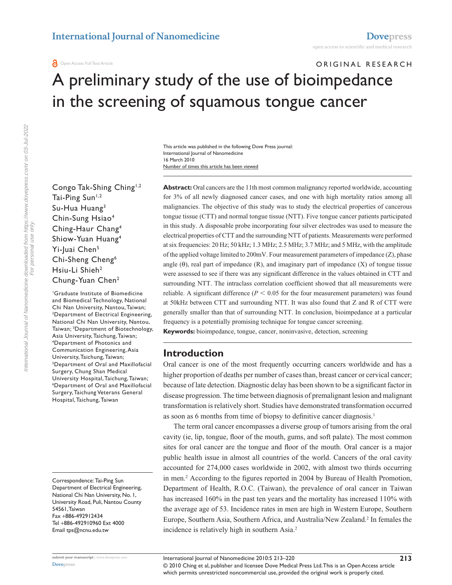# ORIGINAL RESEARCH A preliminary study of the use of bioimpedance in the screening of squamous tongue cancer

Number of times this article has been viewed This article was published in the following Dove Press journal: International Journal of Nanomedicine 16 March 2010

Congo Tak-Shing Ching<sup>1,2</sup> Tai-Ping Sun<sup>1,2</sup> Su-Hua Huang3 Chin-Sung Hsiao4 Ching-Haur Chang4 Shiow-Yuan Huang4 Yi-Juai Chen<sup>5</sup> Chi-Sheng Cheng<sup>6</sup> Hsiu-Li Shieh2 Chung-Yuan Chen2

1 Graduate Institute of Biomedicine and Biomedical Technology, National Chi Nan University, Nantou, Taiwan; 2 Department of Electrical Engineering, National Chi Nan University, Nantou, Taiwan; 3 Department of Biotechnology, Asia University, Taichung, Taiwan; 4 Department of Photonics and Communication Engineering, Asia University, Taichung, Taiwan; 5 Department of Oral and Maxillofacial Surgery, Chung Shan Medical University Hospital, Taichung, Taiwan; 6 Department of Oral and Maxillofacial Surgery, Taichung Veterans General Hospital, Taichung, Taiwan

Correspondence: Tai-Ping Sun Department of Electrical Engineering, National Chi Nan University, No. 1, University Road, Puli, Nantou County 54561, Taiwan Fax +886-492912434 Tel +886-492910960 Ext 4000 Email tps@ncnu.edu.tw

**Abstract:** Oral cancers are the 11th most common malignancy reported worldwide, accounting for 3% of all newly diagnosed cancer cases, and one with high mortality ratios among all malignancies. The objective of this study was to study the electrical properties of cancerous tongue tissue (CTT) and normal tongue tissue (NTT). Five tongue cancer patients participated in this study. A disposable probe incorporating four silver electrodes was used to measure the electrical properties of CTT and the surrounding NTT of patients. Measurements were performed at six frequencies: 20 Hz; 50 kHz; 1.3 MHz; 2.5 MHz; 3.7 MHz; and 5 MHz, with the amplitude of the applied voltage limited to 200mV. Four measurement parameters of impedance (Z), phase angle  $(\theta)$ , real part of impedance  $(R)$ , and imaginary part of impedance  $(X)$  of tongue tissue were assessed to see if there was any significant difference in the values obtained in CTT and surrounding NTT. The intraclass correlation coefficient showed that all measurements were reliable. A significant difference ( $P < 0.05$  for the four measurement parameters) was found at 50kHz between CTT and surrounding NTT. It was also found that Z and R of CTT were generally smaller than that of surrounding NTT. In conclusion, bioimpedance at a particular frequency is a potentially promising technique for tongue cancer screening.

**Keywords:** bioimpedance, tongue, cancer, noninvasive, detection, screening

### **Introduction**

Oral cancer is one of the most frequently occurring cancers worldwide and has a higher proportion of deaths per number of cases than, breast cancer or cervical cancer; because of late detection. Diagnostic delay has been shown to be a significant factor in disease progression. The time between diagnosis of premalignant lesion and malignant transformation is relatively short. Studies have demonstrated transformation occurred as soon as 6 months from time of biopsy to definitive cancer diagnosis.1

The term oral cancer encompasses a diverse group of tumors arising from the oral cavity (ie, lip, tongue, floor of the mouth, gums, and soft palate). The most common sites for oral cancer are the tongue and floor of the mouth. Oral cancer is a major public health issue in almost all countries of the world. Cancers of the oral cavity accounted for 274,000 cases worldwide in 2002, with almost two thirds occurring in men.<sup>2</sup> According to the figures reported in 2004 by Bureau of Health Promotion, Department of Health, R.O.C. (Taiwan), the prevalence of oral cancer in Taiwan has increased 160% in the past ten years and the mortality has increased 110% with the average age of 53. Incidence rates in men are high in Western Europe, Southern Europe, Southern Asia, Southern Africa, and Australia/New Zealand.<sup>2</sup> In females the incidence is relatively high in southern Asia.<sup>2</sup>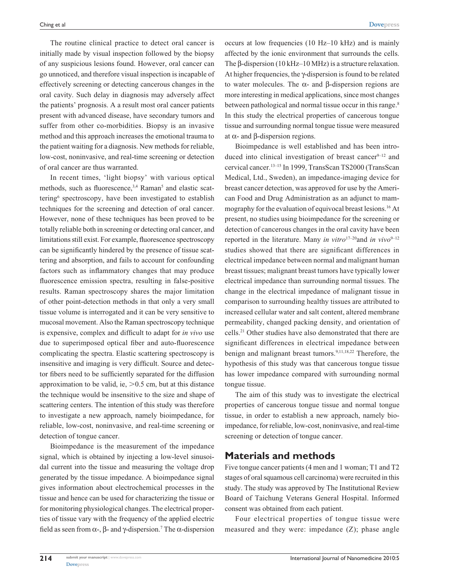Ching et al **[Dovepress](www.dovepress.com)**

The routine clinical practice to detect oral cancer is initially made by visual inspection followed by the biopsy of any suspicious lesions found. However, oral cancer can go unnoticed, and therefore visual inspection is incapable of effectively screening or detecting cancerous changes in the oral cavity. Such delay in diagnosis may adversely affect the patients' prognosis. A a result most oral cancer patients present with advanced disease, have secondary tumors and suffer from other co-morbidities. Biopsy is an invasive method and this approach increases the emotional trauma to the patient waiting for a diagnosis. New methods for reliable, low-cost, noninvasive, and real-time screening or detection of oral cancer are thus warranted.

In recent times, 'light biopsy' with various optical methods, such as fluorescence,<sup>3,4</sup> Raman<sup>5</sup> and elastic scattering<sup>6</sup> spectroscopy, have been investigated to establish techniques for the screening and detection of oral cancer. However, none of these techniques has been proved to be totally reliable both in screening or detecting oral cancer, and limitations still exist. For example, fluorescence spectroscopy can be significantly hindered by the presence of tissue scattering and absorption, and fails to account for confounding factors such as inflammatory changes that may produce fluorescence emission spectra, resulting in false-positive results. Raman spectroscopy shares the major limitation of other point-detection methods in that only a very small tissue volume is interrogated and it can be very sensitive to mucosal movement. Also the Raman spectroscopy technique is expensive, complex and difficult to adapt for *in vivo* use due to superimposed optical fiber and auto-fluorescence complicating the spectra. Elastic scattering spectroscopy is insensitive and imaging is very difficult. Source and detector fibers need to be sufficiently separated for the diffusion approximation to be valid, ie,  $> 0.5$  cm, but at this distance the technique would be insensitive to the size and shape of scattering centers. The intention of this study was therefore to investigate a new approach, namely bioimpedance, for reliable, low-cost, noninvasive, and real-time screening or detection of tongue cancer.

Bioimpedance is the measurement of the impedance signal, which is obtained by injecting a low-level sinusoidal current into the tissue and measuring the voltage drop generated by the tissue impedance. A bioimpedance signal gives information about electrochemical processes in the tissue and hence can be used for characterizing the tissue or for monitoring physiological changes. The electrical properties of tissue vary with the frequency of the applied electric field as seen from  $\alpha$ -,  $\beta$ - and  $\gamma$ -dispersion.<sup>7</sup> The  $\alpha$ -dispersion occurs at low frequencies (10 Hz–10 kHz) and is mainly affected by the ionic environment that surrounds the cells. The β-dispersion (10 kHz–10 MHz) is a structure relaxation. At higher frequencies, the γ-dispersion is found to be related to water molecules. The α- and β-dispersion regions are more interesting in medical applications, since most changes between pathological and normal tissue occur in this range.<sup>8</sup> In this study the electrical properties of cancerous tongue tissue and surrounding normal tongue tissue were measured at α- and β-dispersion regions.

Bioimpedance is well established and has been introduced into clinical investigation of breast cancer $9-12$  and cervical cancer.13–15 In 1999, TransScan TS2000 (TransScan Medical, Ltd., Sweden), an impedance-imaging device for breast cancer detection, was approved for use by the American Food and Drug Administration as an adjunct to mammography for the evaluation of equivocal breast lesions.16 At present, no studies using bioimpedance for the screening or detection of cancerous changes in the oral cavity have been reported in the literature. Many *in vitro*<sup>17-20</sup> and *in vivo*<sup>9-12</sup> studies showed that there are significant differences in electrical impedance between normal and malignant human breast tissues; malignant breast tumors have typically lower electrical impedance than surrounding normal tissues. The change in the electrical impedance of malignant tissue in comparison to surrounding healthy tissues are attributed to increased cellular water and salt content, altered membrane permeability, changed packing density, and orientation of cells.21 Other studies have also demonstrated that there are significant differences in electrical impedance between benign and malignant breast tumors.<sup>9,11,18,22</sup> Therefore, the hypothesis of this study was that cancerous tongue tissue has lower impedance compared with surrounding normal tongue tissue.

The aim of this study was to investigate the electrical properties of cancerous tongue tissue and normal tongue tissue, in order to establish a new approach, namely bioimpedance, for reliable, low-cost, noninvasive, and real-time screening or detection of tongue cancer.

## **Materials and methods**

Five tongue cancer patients (4 men and 1 woman; T1 and T2 stages of oral squamous cell carcinoma) were recruited in this study. The study was approved by The Institutional Review Board of Taichung Veterans General Hospital. Informed consent was obtained from each patient.

Four electrical properties of tongue tissue were measured and they were: impedance (Z); phase angle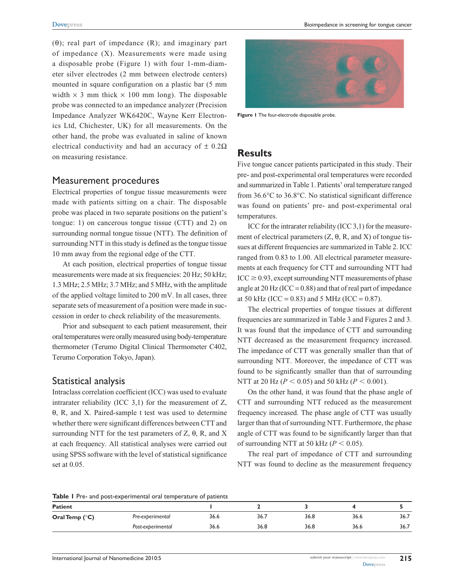$(\theta)$ ; real part of impedance  $(R)$ ; and imaginary part of impedance (X). Measurements were made using a disposable probe (Figure 1) with four 1-mm-diameter silver electrodes (2 mm between electrode centers) mounted in square configuration on a plastic bar (5 mm width  $\times$  3 mm thick  $\times$  100 mm long). The disposable probe was connected to an impedance analyzer (Precision Impedance Analyzer WK6420C, Wayne Kerr Electronics Ltd, Chichester, UK) for all measurements. On the other hand, the probe was evaluated in saline of known electrical conductivity and had an accuracy of  $\pm$  0.2 $\Omega$ on measuring resistance.

### Measurement procedures

Electrical properties of tongue tissue measurements were made with patients sitting on a chair. The disposable probe was placed in two separate positions on the patient's tongue: 1) on cancerous tongue tissue (CTT) and 2) on surrounding normal tongue tissue (NTT). The definition of surrounding NTT in this study is defined as the tongue tissue 10 mm away from the regional edge of the CTT.

At each position, electrical properties of tongue tissue measurements were made at six frequencies: 20 Hz; 50 kHz; 1.3 MHz; 2.5 MHz; 3.7 MHz; and 5 MHz, with the amplitude of the applied voltage limited to 200 mV. In all cases, three separate sets of measurement of a position were made in succession in order to check reliability of the measurements.

Prior and subsequent to each patient measurement, their oral temperatures were orally measured using body-temperature thermometer (Terumo Digital Clinical Thermometer C402, Terumo Corporation Tokyo, Japan).

### Statistical analysis

Intraclass correlation coefficient (ICC) was used to evaluate intrarater reliability (ICC 3,1) for the measurement of Z, θ, R, and X. Paired-sample t test was used to determine whether there were significant differences between CTT and surrounding NTT for the test parameters of  $Z$ ,  $\theta$ , R, and X at each frequency. All statistical analyses were carried out using SPSS software with the level of statistical significance set at 0.05.



**Figure 1** The four-electrode disposable probe.

## **Results**

Five tongue cancer patients participated in this study. Their pre- and post-experimental oral temperatures were recorded and summarized in Table 1. Patients' oral temperature ranged from 36.6°C to 36.8°C. No statistical significant difference was found on patients' pre- and post-experimental oral temperatures.

ICC for the intrarater reliability (ICC 3,1) for the measurement of electrical parameters  $(Z, \theta, R, \text{ and } X)$  of tongue tissues at different frequencies are summarized in Table 2. ICC ranged from 0.83 to 1.00. All electrical parameter measurements at each frequency for CTT and surrounding NTT had  $ICC \geq 0.93$ , except surrounding NTT measurements of phase angle at  $20$  Hz (ICC = 0.88) and that of real part of impedance at 50 kHz (ICC = 0.83) and 5 MHz (ICC = 0.87).

The electrical properties of tongue tissues at different frequencies are summarized in Table 3 and Figures 2 and 3. It was found that the impedance of CTT and surrounding NTT decreased as the measurement frequency increased. The impedance of CTT was generally smaller than that of surrounding NTT. Moreover, the impedance of CTT was found to be significantly smaller than that of surrounding NTT at 20 Hz ( $P < 0.05$ ) and 50 kHz ( $P < 0.001$ ).

On the other hand, it was found that the phase angle of CTT and surrounding NTT reduced as the measurement frequency increased. The phase angle of CTT was usually larger than that of surrounding NTT. Furthermore, the phase angle of CTT was found to be significantly larger than that of surrounding NTT at 50 kHz ( $P < 0.05$ ).

The real part of impedance of CTT and surrounding NTT was found to decline as the measurement frequency

**Table 1** Pre- and post-experimental oral temperature of patients

| $\frac{1}{2}$ , $\frac{1}{2}$ , $\frac{1}{2}$ , $\frac{1}{2}$ , $\frac{1}{2}$ , $\frac{1}{2}$ , $\frac{1}{2}$ , $\frac{1}{2}$ , $\frac{1}{2}$ , $\frac{1}{2}$ , $\frac{1}{2}$ , $\frac{1}{2}$ , $\frac{1}{2}$ , $\frac{1}{2}$ , $\frac{1}{2}$ , $\frac{1}{2}$ , $\frac{1}{2}$ , $\frac{1}{2}$ , $\frac{1$ |                   |      |      |      |      |      |  |  |
|-----------------------------------------------------------------------------------------------------------------------------------------------------------------------------------------------------------------------------------------------------------------------------------------------------------|-------------------|------|------|------|------|------|--|--|
| Patient                                                                                                                                                                                                                                                                                                   |                   |      |      |      |      |      |  |  |
| Oral Temp $(^{\circ}C)$<br>Pre-experimental                                                                                                                                                                                                                                                               | 36.6              | 36.7 | 36.8 | 36.6 | 36.7 |      |  |  |
|                                                                                                                                                                                                                                                                                                           | Post-experimental | 36.6 | 36.8 | 36.8 | 36.6 | 36.7 |  |  |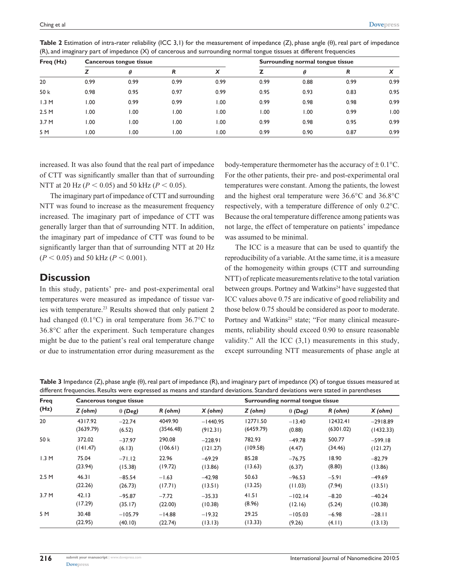| Freq $(Hz)$ | Cancerous tongue tissue |          |      |      | Surrounding normal tongue tissue |      |      |      |
|-------------|-------------------------|----------|------|------|----------------------------------|------|------|------|
|             |                         | $\theta$ | R    | X    |                                  | θ    | R    | X    |
| 20          | 0.99                    | 0.99     | 0.99 | 0.99 | 0.99                             | 0.88 | 0.99 | 0.99 |
| 50 k        | 0.98                    | 0.95     | 0.97 | 0.99 | 0.95                             | 0.93 | 0.83 | 0.95 |
| 1.3M        | 1.00                    | 0.99     | 0.99 | 00.1 | 0.99                             | 0.98 | 0.98 | 0.99 |
| 2.5 M       | 00. ا                   | 00.1     | 1.00 | 00.1 | 00.1                             | 1.00 | 0.99 | 00.1 |
| 3.7 M       | 00. ا                   | .00      | 1.00 | 00.1 | 0.99                             | 0.98 | 0.95 | 0.99 |
| 5 M         | 1.00                    | 00.1     | 1.00 | 00.1 | 0.99                             | 0.90 | 0.87 | 0.99 |

**Table 2** Estimation of intra-rater reliability (ICC 3,1) for the measurement of impedance (Z), phase angle (θ), real part of impedance (R), and imaginary part of impedance (X) of cancerous and surrounding normal tongue tissues at different frequencies

increased. It was also found that the real part of impedance of CTT was significantly smaller than that of surrounding NTT at 20 Hz ( $P < 0.05$ ) and 50 kHz ( $P < 0.05$ ).

The imaginary part of impedance of CTT and surrounding NTT was found to increase as the measurement frequency increased. The imaginary part of impedance of CTT was generally larger than that of surrounding NTT. In addition, the imaginary part of impedance of CTT was found to be significantly larger than that of surrounding NTT at 20 Hz  $(P < 0.05)$  and 50 kHz ( $P < 0.001$ ).

# **Discussion**

In this study, patients' pre- and post-experimental oral temperatures were measured as impedance of tissue varies with temperature.23 Results showed that only patient 2 had changed (0.1°C) in oral temperature from 36.7°C to 36.8°C after the experiment. Such temperature changes might be due to the patient's real oral temperature change or due to instrumentation error during measurement as the body-temperature thermometer has the accuracy of  $\pm$  0.1 $\degree$ C. For the other patients, their pre- and post-experimental oral temperatures were constant. Among the patients, the lowest and the highest oral temperature were 36.6°C and 36.8°C respectively, with a temperature difference of only 0.2°C. Because the oral temperature difference among patients was not large, the effect of temperature on patients' impedance was assumed to be minimal.

The ICC is a measure that can be used to quantify the reproducibility of a variable. At the same time, it is a measure of the homogeneity within groups (CTT and surrounding NTT) of replicate measurements relative to the total variation between groups. Portney and Watkins<sup>24</sup> have suggested that ICC values above 0.75 are indicative of good reliability and those below 0.75 should be considered as poor to moderate. Portney and Watkins<sup>25</sup> state; "For many clinical measurements, reliability should exceed 0.90 to ensure reasonable validity." All the ICC (3,1) measurements in this study, except surrounding NTT measurements of phase angle at

| Table 3 Impedance (Z), phase angle ( $\theta$ ), real part of impedance (R), and imaginary part of impedance (X) of tongue tissues measured at |
|------------------------------------------------------------------------------------------------------------------------------------------------|
| different frequencies. Results were expressed as means and standard deviations. Standard deviations were stated in parentheses                 |

| Freq<br>(Hz) | Cancerous tongue tissue |                |           |            | Surrounding normal tongue tissue |                |           |            |
|--------------|-------------------------|----------------|-----------|------------|----------------------------------|----------------|-----------|------------|
|              | Z(ohm)                  | $\theta$ (Deg) | R(ohm)    | X(ohm)     | Z(ohm)                           | $\theta$ (Deg) | R (ohm)   | X(ohm)     |
| 20           | 4317.92                 | $-22.74$       | 4049.90   | $-1440.95$ | 12771.50                         | $-13.40$       | 12432.41  | $-2918.89$ |
|              | (3639.79)               | (6.52)         | (3546.48) | (912.31)   | (6459.79)                        | (0.88)         | (6301.02) | (1432.33)  |
| 50 k         | 372.02                  | $-37.97$       | 290.08    | $-228.91$  | 782.93                           | $-49.78$       | 500.77    | $-599.18$  |
|              | (141.47)                | (6.13)         | (106.61)  | (121.27)   | (109.58)                         | (4.47)         | (34.46)   | (121.27)   |
| 1.3M         | 75.04                   | $-71.12$       | 22.96     | $-69.29$   | 85.28                            | $-76.75$       | 18.90     | $-82.79$   |
|              | (23.94)                 | (15.38)        | (19.72)   | (13.86)    | (13.63)                          | (6.37)         | (8.80)    | (13.86)    |
| 2.5M         | 46.31                   | $-85.54$       | $-1.63$   | $-42.98$   | 50.63                            | $-96.53$       | $-5.91$   | $-49.69$   |
|              | (22.26)                 | (26.73)        | (17.71)   | (13.51)    | (13.25)                          | (11.03)        | (7.94)    | (13.51)    |
| 3.7 M        | 42.13                   | $-95.87$       | $-7.72$   | $-35.33$   | 41.51                            | $-102.14$      | $-8.20$   | $-40.24$   |
|              | (17.29)                 | (35.17)        | (22.00)   | (10.38)    | (8.96)                           | (12.16)        | (5.24)    | (10.38)    |
| 5 M          | 30.48                   | $-105.79$      | $-14.88$  | $-19.32$   | 29.25                            | $-105.03$      | $-6.98$   | $-28.11$   |
|              | (22.95)                 | (40.10)        | (22.74)   | (13.13)    | (13.33)                          | (9.26)         | (4.11)    | (13.13)    |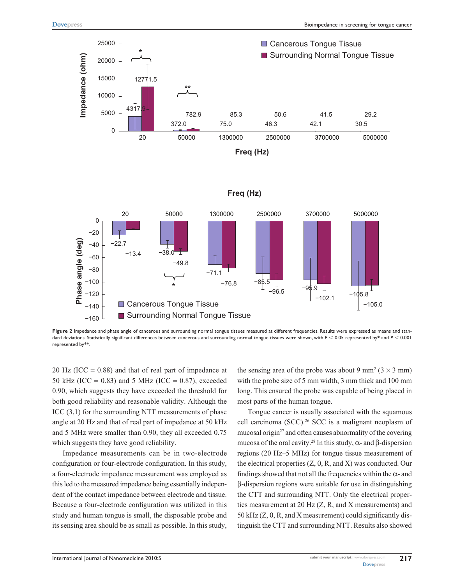

**Freq (Hz)**



Figure 2 Impedance and phase angle of cancerous and surrounding normal tongue tissues measured at different frequencies. Results were expressed as means and standard deviations. Statistically significant differences between cancerous and surrounding normal tongue tissues were shown, with  $P < 0.05$  represented by\* and  $P < 0.001$ represented by**\*\***.

20 Hz (ICC =  $0.88$ ) and that of real part of impedance at 50 kHz (ICC =  $0.83$ ) and 5 MHz (ICC =  $0.87$ ), exceeded 0.90, which suggests they have exceeded the threshold for both good reliability and reasonable validity. Although the ICC (3,1) for the surrounding NTT measurements of phase angle at 20 Hz and that of real part of impedance at 50 kHz and 5 MHz were smaller than 0.90, they all exceeded 0.75 which suggests they have good reliability.

Impedance measurements can be in two-electrode configuration or four-electrode configuration. In this study, a four-electrode impedance measurement was employed as this led to the measured impedance being essentially independent of the contact impedance between electrode and tissue. Because a four-electrode configuration was utilized in this study and human tongue is small, the disposable probe and its sensing area should be as small as possible. In this study,

the sensing area of the probe was about 9 mm<sup>2</sup>  $(3 \times 3$  mm) with the probe size of 5 mm width, 3 mm thick and 100 mm long. This ensured the probe was capable of being placed in most parts of the human tongue.

Tongue cancer is usually associated with the squamous cell carcinoma (SCC).26 SCC is a malignant neoplasm of mucosal origin $2<sup>7</sup>$  and often causes abnormality of the covering mucosa of the oral cavity.<sup>28</sup> In this study,  $\alpha$ - and  $\beta$ -dispersion regions (20 Hz–5 MHz) for tongue tissue measurement of the electrical properties  $(Z, θ, R,$  and  $X)$  was conducted. Our findings showed that not all the frequencies within the  $\alpha$ - and β-dispersion regions were suitable for use in distinguishing the CTT and surrounding NTT. Only the electrical properties measurement at 20 Hz (Z, R, and X measurements) and 50 kHz  $(Z, \theta, R,$  and X measurement) could significantly distinguish the CTT and surrounding NTT. Results also showed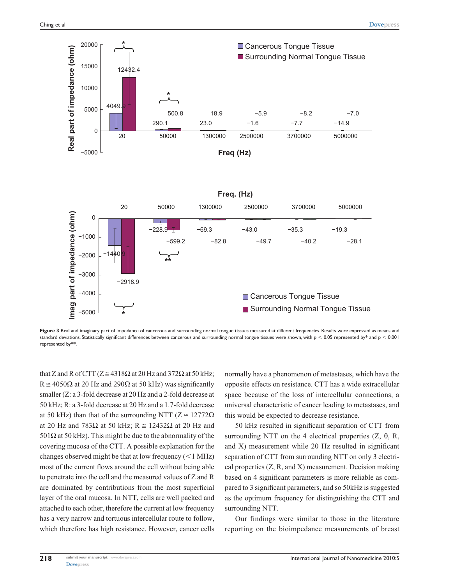

−5000 −4000 Cancerous Tongue Tissue Surrounding Normal Tongue Tissue **\***

Figure 3 Real and imaginary part of impedance of cancerous and surrounding normal tongue tissues measured at different frequencies. Results were expressed as means and standard deviations. Statistically significant differences between cancerous and surrounding normal tongue tissues were shown, with p < 0.05 represented by\* and p < 0.001 represented by**\*\***.

that Z and R of CTT ( $Z \approx 4318\Omega$  at 20 Hz and 372 $\Omega$  at 50 kHz; R  $\approx$  4050 $\Omega$  at 20 Hz and 290 $\Omega$  at 50 kHz) was significantly smaller (Z: a 3-fold decrease at 20 Hz and a 2-fold decrease at 50 kHz; R: a 3-fold decrease at 20 Hz and a 1.7-fold decrease at 50 kHz) than that of the surrounding NTT ( $Z \approx 12772\Omega$ ) at 20 Hz and 783Ω at 50 kHz; R  $\approx$  12432Ω at 20 Hz and  $501\Omega$  at 50 kHz). This might be due to the abnormality of the covering mucosa of the CTT. A possible explanation for the changes observed might be that at low frequency  $(< 1$  MHz) most of the current flows around the cell without being able to penetrate into the cell and the measured values of Z and R are dominated by contributions from the most superficial layer of the oral mucosa. In NTT, cells are well packed and attached to each other, therefore the current at low frequency has a very narrow and tortuous intercellular route to follow, which therefore has high resistance. However, cancer cells

−2918.9

−3000

normally have a phenomenon of metastases, which have the opposite effects on resistance. CTT has a wide extracellular space because of the loss of intercellular connections, a universal characteristic of cancer leading to metastases, and this would be expected to decrease resistance.

50 kHz resulted in significant separation of CTT from surrounding NTT on the 4 electrical properties  $(Z, \theta, R, \theta)$ and X) measurement while 20 Hz resulted in significant separation of CTT from surrounding NTT on only 3 electrical properties (Z, R, and X) measurement. Decision making based on 4 significant parameters is more reliable as compared to 3 significant parameters, and so 50kHz is suggested as the optimum frequency for distinguishing the CTT and surrounding NTT.

Our findings were similar to those in the literature reporting on the bioimpedance measurements of breast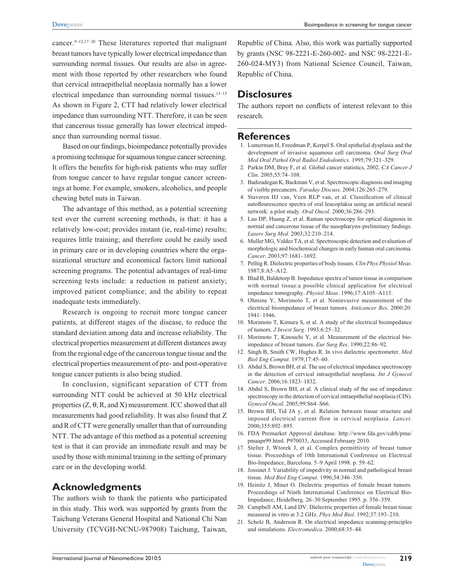cancer. $9-12,17-20$  These literatures reported that malignant breast tumors have typically lower electrical impedance than surrounding normal tissues. Our results are also in agreement with those reported by other researchers who found that cervical intraepithelial neoplasia normally has a lower electrical impedance than surrounding normal tissues.13–15 As shown in Figure 2, CTT had relatively lower electrical impedance than surrounding NTT. Therefore, it can be seen that cancerous tissue generally has lower electrical impedance than surrounding normal tissue.

Based on our findings, bioimpedance potentially provides a promising technique for squamous tongue cancer screening. It offers the benefits for high-risk patients who may suffer from tongue cancer to have regular tongue cancer screenings at home. For example, smokers, alcoholics, and people chewing betel nuts in Taiwan.

The advantage of this method, as a potential screening test over the current screening methods, is that: it has a relatively low-cost; provides instant (ie, real-time) results; requires little training; and therefore could be easily used in primary care or in developing countries where the organizational structure and economical factors limit national screening programs. The potential advantages of real-time screening tests include: a reduction in patient anxiety; improved patient compliance; and the ability to repeat inadequate tests immediately.

Research is ongoing to recruit more tongue cancer patients, at different stages of the disease, to reduce the standard deviation among data and increase reliability. The electrical properties measurement at different distances away from the regional edge of the cancerous tongue tissue and the electrical properties measurement of pre- and post-operative tongue cancer patients is also being studied.

In conclusion, significant separation of CTT from surrounding NTT could be achieved at 50 kHz electrical properties  $(Z, \theta, R, \text{ and } X)$  measurement. ICC showed that all measurements had good reliability. It was also found that Z and R of CTT were generally smaller than that of surrounding NTT. The advantage of this method as a potential screening test is that it can provide an immediate result and may be used by those with minimal training in the setting of primary care or in the developing world.

# **Acknowledgments**

The authors wish to thank the patients who participated in this study. This work was supported by grants from the Taichung Veterans General Hospital and National Chi Nan University (TCVGH-NCNU-987908) Taichung, Taiwan, Republic of China. Also, this work was partially supported by grants (NSC 98-2221-E-260-002- and NSC 98-2221-E-260-024-MY3) from National Science Council, Taiwan, Republic of China.

# **Disclosures**

The authors report no conflicts of interest relevant to this research.

#### **References**

- 1. Lumerman H, Freedman P, Kerpel S. Oral epithelial dysplasia and the development of invasive squamous cell carcinoma. *Oral Surg Oral Med Oral Pathol Oral Radiol Endodontics*. 1995;79:321–329.
- 2. Parkin DM, Bray F, et al. Global cancer statistics, 2002. *CA Cancer J Clin*. 2005;55:74–108.
- 3. Badizadegan K, Backman V, et al. Spectroscopic diagnosis and imaging of visible precancers. *Faraday Discuss*. 2004;126:265–279.
- 4. Staveren HJ van, Veen RLP van, et al. Classification of clinical autoflourescence spectra of oral leucoplakia using an artificial neural network: a pilot study. *Oral Oncol*. 2000;36:286–293.
- 5. Lau DP, Huang Z, et al. Raman spectroscopy for optical diagnosis in normal and cancerous tissue of the nasopharynx-preliminary findings. *Lasers Surg Med*. 2003;32:210–214.
- 6. Muller MG, Valdez TA, et al. Spectroscopic detection and evaluation of morphologic and biochemical changes in early human oral carcinoma. *Cancer*. 2003;97:1681–1692.
- 7. Pethig R. Dielectric properties of body tissues. *Clin Phys Physiol Meas*. 1987;8:A5–A12.
- 8. Blad B, Baldetorp B. Impedance spectra of tumor tissue in comparison with normal tissue:a possible clinical application for electrical impedance tomography. *Physiol Meas*. 1996;17:A105–A115.
- 9. Ohmine Y, Morimoto T, et al. Noninvasive measurement of the electrical bioimpedance of breast tumors. *Anticancer Res*. 2000:20: 1941–1946.
- 10. Morimoto T, Kimura S, et al. A study of the electrical bioimpedance of tumors. *J Invest Surg*. 1993;6:25–32.
- 11. Morimoto T, Kinouchi Y, et al. Measurement of the electrical bioimpedance of breast tumors. *Eur Surg Res*. 1990;22:86–92.
- 12. Singh B, Smith CW, Hughes R. In vivo dielectric spectrometer. *Med Biol Eng Comput*. 1979;17:45–60.
- 13. Abdul S, Brown BH, et al. The use of electrical impedance spectroscopy in the detection of cervical intraepithelial neoplasia. *Int J Gynecol Cancer*. 2006;16:1823–1832.
- 14. Abdul S, Brown BH, et al. A clinical study of the use of impedance spectroscopy in the detection of cervical intraepithelial neoplasia (CIN). *Gynecol Oncol*. 2005;99:S64–S66.
- 15. Brown BH, Tid JA y, et al. Relation between tissue structure and imposed electrical current flow in cervical neoplasia. *Lancet*. 2000;355:892–895.
- 16. FDA Premarket Approval database. http://www.fda.gov/cdrh/pma/ pmaapr99.html. P970033, Accessed February 2010.
- 17. Stelter J, Wtorek J, et al. Complex permittivity of breast tumor tissue. Proceedings of 10th International Conference on Electrical Bio-Impedance, Barcelona. 5–9 April 1998. p. 59–62.
- 18. Jossinet J. Variability of impedivity in normal and pathological breast tissue. *Med Biol Eng Comput*. 1996;34:346–350.
- 19. Heinitz J, Minet O. Dielectric properties of female breast tumors. Proceedings of Ninth International Conference on Electrical Bio-Impedance, Heidelberg. 26–30 September 1995. p. 356–359.
- 20. Campbell AM, Land DV. Dielectric properties of female breast tissue measured in vitro at 3.2 GHz. *Phys Med Biol*. 1992;37:193–210.
- 21. Scholz B, Anderson R. On electrical impedance scanning-principles and simulations. *Electromedica*. 2000;68:35–44.